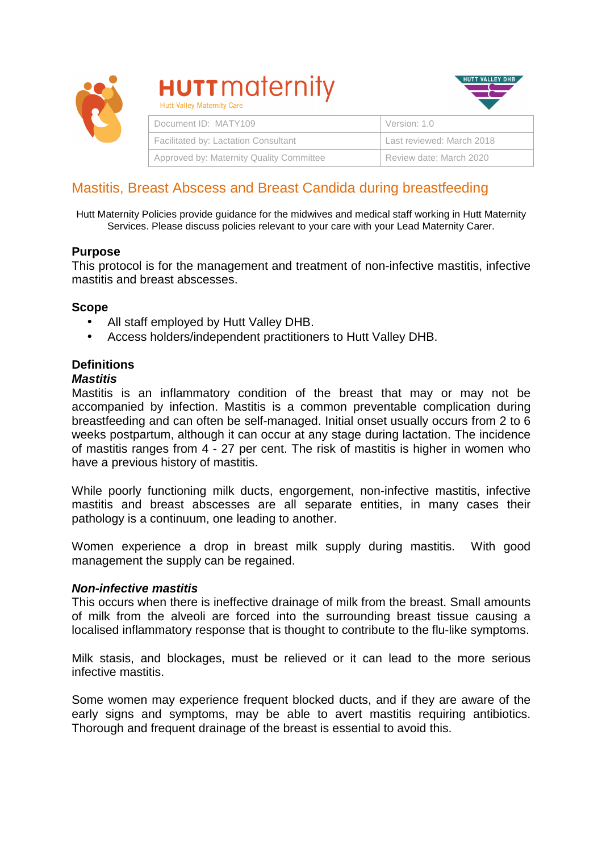

# **HUTT** maternity



| Document ID: MATY109                     | Version: 1.0              |
|------------------------------------------|---------------------------|
| Facilitated by: Lactation Consultant     | Last reviewed: March 2018 |
| Approved by: Maternity Quality Committee | Review date: March 2020   |

# Mastitis, Breast Abscess and Breast Candida during breastfeeding

Hutt Maternity Policies provide guidance for the midwives and medical staff working in Hutt Maternity Services. Please discuss policies relevant to your care with your Lead Maternity Carer.

# **Purpose**

This protocol is for the management and treatment of non-infective mastitis, infective mastitis and breast abscesses.

#### **Scope**

- All staff employed by Hutt Valley DHB.
- Access holders/independent practitioners to Hutt Valley DHB.

# **Definitions**

#### **Mastitis**

Mastitis is an inflammatory condition of the breast that may or may not be accompanied by infection. Mastitis is a common preventable complication during breastfeeding and can often be self-managed. Initial onset usually occurs from 2 to 6 weeks postpartum, although it can occur at any stage during lactation. The incidence of mastitis ranges from 4 - 27 per cent. The risk of mastitis is higher in women who have a previous history of mastitis.

While poorly functioning milk ducts, engorgement, non-infective mastitis, infective mastitis and breast abscesses are all separate entities, in many cases their pathology is a continuum, one leading to another.

Women experience a drop in breast milk supply during mastitis. With good management the supply can be regained.

#### **Non-infective mastitis**

This occurs when there is ineffective drainage of milk from the breast. Small amounts of milk from the alveoli are forced into the surrounding breast tissue causing a localised inflammatory response that is thought to contribute to the flu-like symptoms.

Milk stasis, and blockages, must be relieved or it can lead to the more serious infective mastitis.

Some women may experience frequent blocked ducts, and if they are aware of the early signs and symptoms, may be able to avert mastitis requiring antibiotics. Thorough and frequent drainage of the breast is essential to avoid this.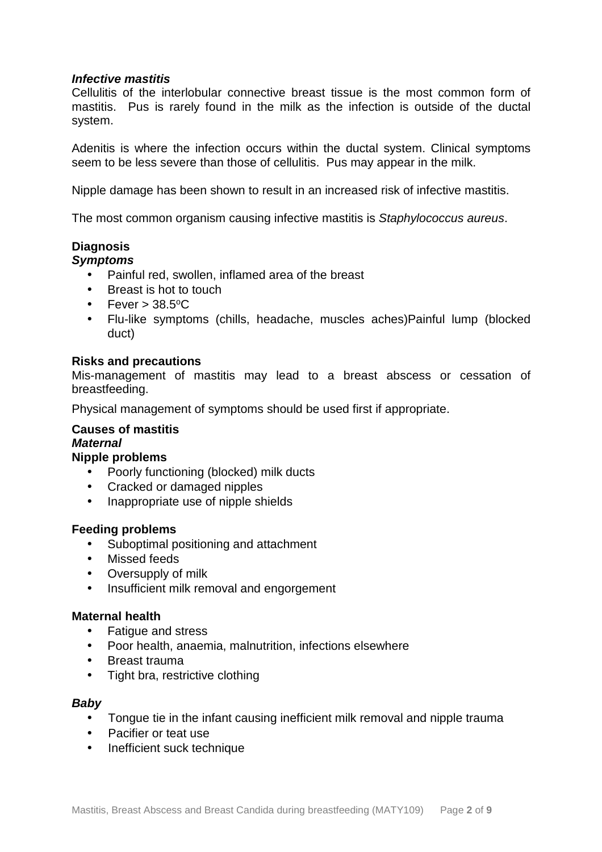# **Infective mastitis**

Cellulitis of the interlobular connective breast tissue is the most common form of mastitis. Pus is rarely found in the milk as the infection is outside of the ductal system.

Adenitis is where the infection occurs within the ductal system. Clinical symptoms seem to be less severe than those of cellulitis. Pus may appear in the milk.

Nipple damage has been shown to result in an increased risk of infective mastitis.

The most common organism causing infective mastitis is Staphylococcus aureus.

# **Diagnosis**

#### **Symptoms**

- Painful red, swollen, inflamed area of the breast
- Breast is hot to touch
- $Fever > 38.5$ <sup>o</sup>C
- Flu-like symptoms (chills, headache, muscles aches)Painful lump (blocked duct)

#### **Risks and precautions**

Mis-management of mastitis may lead to a breast abscess or cessation of breastfeeding.

Physical management of symptoms should be used first if appropriate.

# **Causes of mastitis Maternal**

- **Nipple problems** 
	- Poorly functioning (blocked) milk ducts
	- Cracked or damaged nipples
	- Inappropriate use of nipple shields

#### **Feeding problems**

- Suboptimal positioning and attachment
- Missed feeds
- Oversupply of milk
- Insufficient milk removal and engorgement

#### **Maternal health**

- Fatigue and stress
- Poor health, anaemia, malnutrition, infections elsewhere
- Breast trauma
- Tight bra, restrictive clothing

#### **Baby**

- Tongue tie in the infant causing inefficient milk removal and nipple trauma
- Pacifier or teat use
- Inefficient suck technique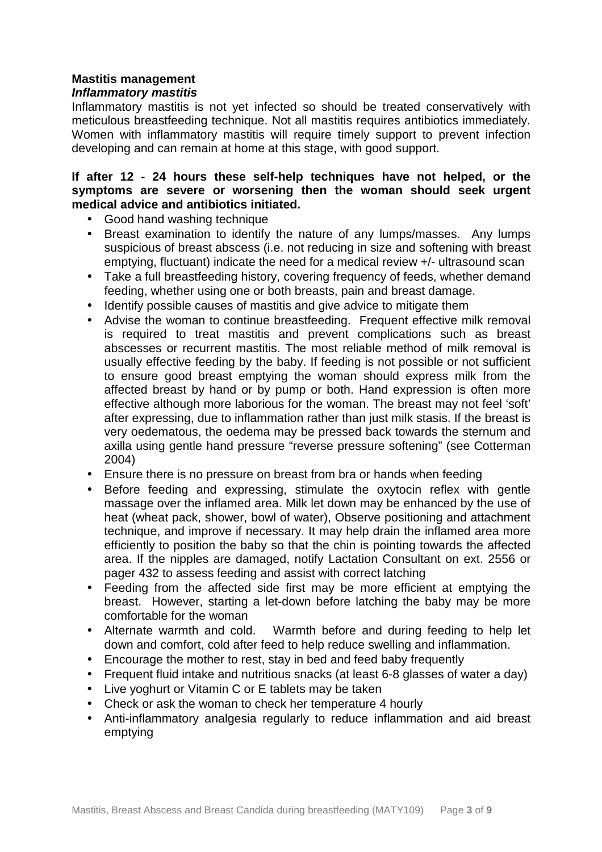# **Mastitis management**

# **Inflammatory mastitis**

Inflammatory mastitis is not yet infected so should be treated conservatively with meticulous breastfeeding technique. Not all mastitis requires antibiotics immediately. Women with inflammatory mastitis will require timely support to prevent infection developing and can remain at home at this stage, with good support.

# **If after 12 - 24 hours these self-help techniques have not helped, or the symptoms are severe or worsening then the woman should seek urgent medical advice and antibiotics initiated.**

- Good hand washing technique
- Breast examination to identify the nature of any lumps/masses. Any lumps suspicious of breast abscess (i.e. not reducing in size and softening with breast emptying, fluctuant) indicate the need for a medical review +/- ultrasound scan
- Take a full breastfeeding history, covering frequency of feeds, whether demand feeding, whether using one or both breasts, pain and breast damage.
- Identify possible causes of mastitis and give advice to mitigate them
- Advise the woman to continue breastfeeding. Frequent effective milk removal is required to treat mastitis and prevent complications such as breast abscesses or recurrent mastitis. The most reliable method of milk removal is usually effective feeding by the baby. If feeding is not possible or not sufficient to ensure good breast emptying the woman should express milk from the affected breast by hand or by pump or both. Hand expression is often more effective although more laborious for the woman. The breast may not feel 'soft' after expressing, due to inflammation rather than just milk stasis. If the breast is very oedematous, the oedema may be pressed back towards the sternum and axilla using gentle hand pressure "reverse pressure softening" (see Cotterman 2004)
- Ensure there is no pressure on breast from bra or hands when feeding
- Before feeding and expressing, stimulate the oxytocin reflex with gentle massage over the inflamed area. Milk let down may be enhanced by the use of heat (wheat pack, shower, bowl of water), Observe positioning and attachment technique, and improve if necessary. It may help drain the inflamed area more efficiently to position the baby so that the chin is pointing towards the affected area. If the nipples are damaged, notify Lactation Consultant on ext. 2556 or pager 432 to assess feeding and assist with correct latching
- Feeding from the affected side first may be more efficient at emptying the breast. However, starting a let-down before latching the baby may be more comfortable for the woman
- Alternate warmth and cold. Warmth before and during feeding to help let down and comfort, cold after feed to help reduce swelling and inflammation.
- Encourage the mother to rest, stay in bed and feed baby frequently
- Frequent fluid intake and nutritious snacks (at least 6-8 glasses of water a day)
- Live yoghurt or Vitamin C or E tablets may be taken
- Check or ask the woman to check her temperature 4 hourly
- Anti-inflammatory analgesia regularly to reduce inflammation and aid breast emptying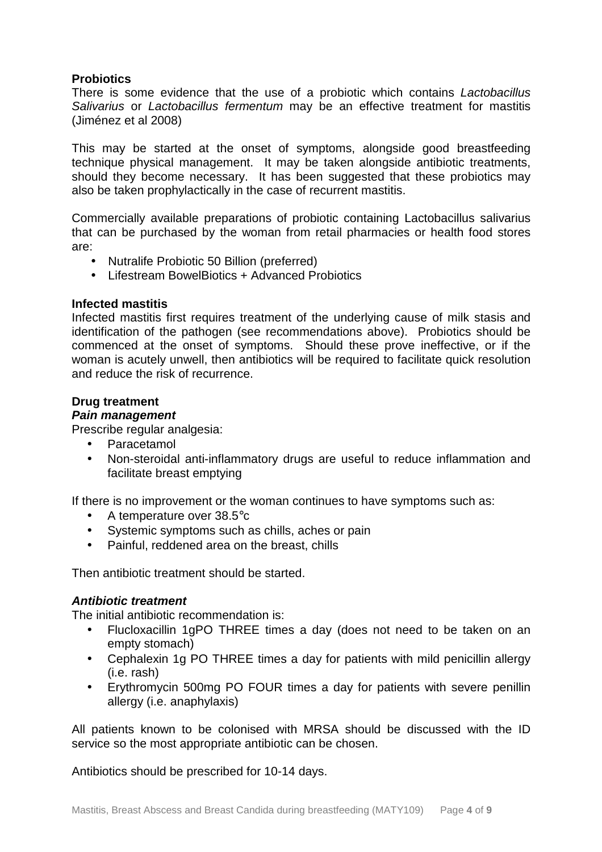# **Probiotics**

There is some evidence that the use of a probiotic which contains *Lactobacillus* Salivarius or Lactobacillus fermentum may be an effective treatment for mastitis (Jiménez et al 2008)

This may be started at the onset of symptoms, alongside good breastfeeding technique physical management. It may be taken alongside antibiotic treatments, should they become necessary. It has been suggested that these probiotics may also be taken prophylactically in the case of recurrent mastitis.

Commercially available preparations of probiotic containing Lactobacillus salivarius that can be purchased by the woman from retail pharmacies or health food stores are:

- Nutralife Probiotic 50 Billion (preferred)
- Lifestream BowelBiotics + Advanced Probiotics

# **Infected mastitis**

Infected mastitis first requires treatment of the underlying cause of milk stasis and identification of the pathogen (see recommendations above). Probiotics should be commenced at the onset of symptoms. Should these prove ineffective, or if the woman is acutely unwell, then antibiotics will be required to facilitate quick resolution and reduce the risk of recurrence.

# **Drug treatment**

# **Pain management**

Prescribe regular analgesia:

- **Paracetamol**
- Non-steroidal anti-inflammatory drugs are useful to reduce inflammation and facilitate breast emptying

If there is no improvement or the woman continues to have symptoms such as:

- A temperature over 38.5°c
- Systemic symptoms such as chills, aches or pain
- Painful, reddened area on the breast, chills

Then antibiotic treatment should be started.

# **Antibiotic treatment**

The initial antibiotic recommendation is:

- Flucloxacillin 1gPO THREE times a day (does not need to be taken on an empty stomach)
- Cephalexin 1g PO THREE times a day for patients with mild penicillin allergy (i.e. rash)
- Erythromycin 500mg PO FOUR times a day for patients with severe penillin allergy (i.e. anaphylaxis)

All patients known to be colonised with MRSA should be discussed with the ID service so the most appropriate antibiotic can be chosen.

Antibiotics should be prescribed for 10-14 days.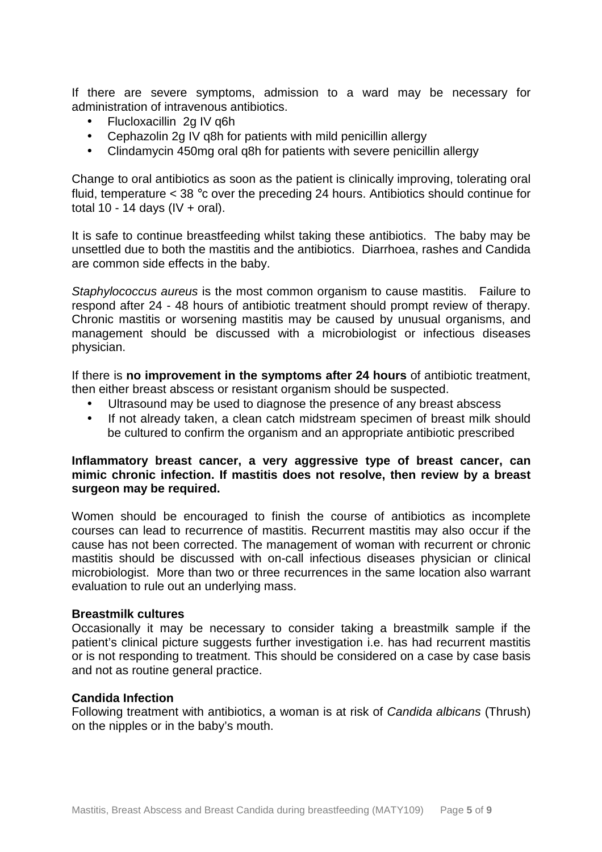If there are severe symptoms, admission to a ward may be necessary for administration of intravenous antibiotics.

- Flucloxacillin 2g IV q6h
- Cephazolin 2g IV q8h for patients with mild penicillin allergy
- Clindamycin 450mg oral q8h for patients with severe penicillin allergy

Change to oral antibiotics as soon as the patient is clinically improving, tolerating oral fluid, temperature < 38 °c over the preceding 24 hours. Antibiotics should continue for total 10 - 14 days (IV + oral).

It is safe to continue breastfeeding whilst taking these antibiotics. The baby may be unsettled due to both the mastitis and the antibiotics. Diarrhoea, rashes and Candida are common side effects in the baby.

Staphylococcus aureus is the most common organism to cause mastitis. Failure to respond after 24 - 48 hours of antibiotic treatment should prompt review of therapy. Chronic mastitis or worsening mastitis may be caused by unusual organisms, and management should be discussed with a microbiologist or infectious diseases physician.

If there is **no improvement in the symptoms after 24 hours** of antibiotic treatment, then either breast abscess or resistant organism should be suspected.

- Ultrasound may be used to diagnose the presence of any breast abscess
- If not already taken, a clean catch midstream specimen of breast milk should be cultured to confirm the organism and an appropriate antibiotic prescribed

### **Inflammatory breast cancer, a very aggressive type of breast cancer, can mimic chronic infection. If mastitis does not resolve, then review by a breast surgeon may be required.**

Women should be encouraged to finish the course of antibiotics as incomplete courses can lead to recurrence of mastitis. Recurrent mastitis may also occur if the cause has not been corrected. The management of woman with recurrent or chronic mastitis should be discussed with on-call infectious diseases physician or clinical microbiologist. More than two or three recurrences in the same location also warrant evaluation to rule out an underlying mass.

#### **Breastmilk cultures**

Occasionally it may be necessary to consider taking a breastmilk sample if the patient's clinical picture suggests further investigation i.e. has had recurrent mastitis or is not responding to treatment. This should be considered on a case by case basis and not as routine general practice.

#### **Candida Infection**

Following treatment with antibiotics, a woman is at risk of Candida albicans (Thrush) on the nipples or in the baby's mouth.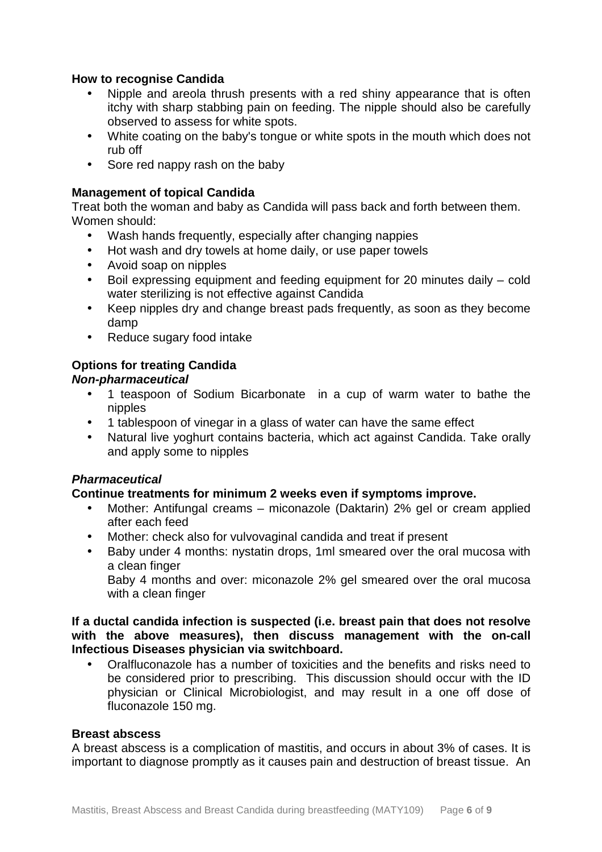# **How to recognise Candida**

- Nipple and areola thrush presents with a red shiny appearance that is often itchy with sharp stabbing pain on feeding. The nipple should also be carefully observed to assess for white spots.
- White coating on the baby's tongue or white spots in the mouth which does not rub off
- Sore red nappy rash on the baby

# **Management of topical Candida**

Treat both the woman and baby as Candida will pass back and forth between them. Women should:

- Wash hands frequently, especially after changing nappies
- Hot wash and dry towels at home daily, or use paper towels
- Avoid soap on nipples
- Boil expressing equipment and feeding equipment for 20 minutes daily cold water sterilizing is not effective against Candida
- Keep nipples dry and change breast pads frequently, as soon as they become damp
- Reduce sugary food intake

# **Options for treating Candida**

# **Non-pharmaceutical**

- 1 teaspoon of Sodium Bicarbonate in a cup of warm water to bathe the nipples
- 1 tablespoon of vinegar in a glass of water can have the same effect
- Natural live yoghurt contains bacteria, which act against Candida. Take orally and apply some to nipples

# **Pharmaceutical**

# **Continue treatments for minimum 2 weeks even if symptoms improve.**

- Mother: Antifungal creams miconazole (Daktarin) 2% gel or cream applied after each feed
- Mother: check also for vulvovaginal candida and treat if present
- Baby under 4 months: nystatin drops, 1ml smeared over the oral mucosa with a clean finger

Baby 4 months and over: miconazole 2% gel smeared over the oral mucosa with a clean finger

#### **If a ductal candida infection is suspected (i.e. breast pain that does not resolve with the above measures), then discuss management with the on-call Infectious Diseases physician via switchboard.**

• Oralfluconazole has a number of toxicities and the benefits and risks need to be considered prior to prescribing. This discussion should occur with the ID physician or Clinical Microbiologist, and may result in a one off dose of fluconazole 150 mg.

# **Breast abscess**

A breast abscess is a complication of mastitis, and occurs in about 3% of cases. It is important to diagnose promptly as it causes pain and destruction of breast tissue. An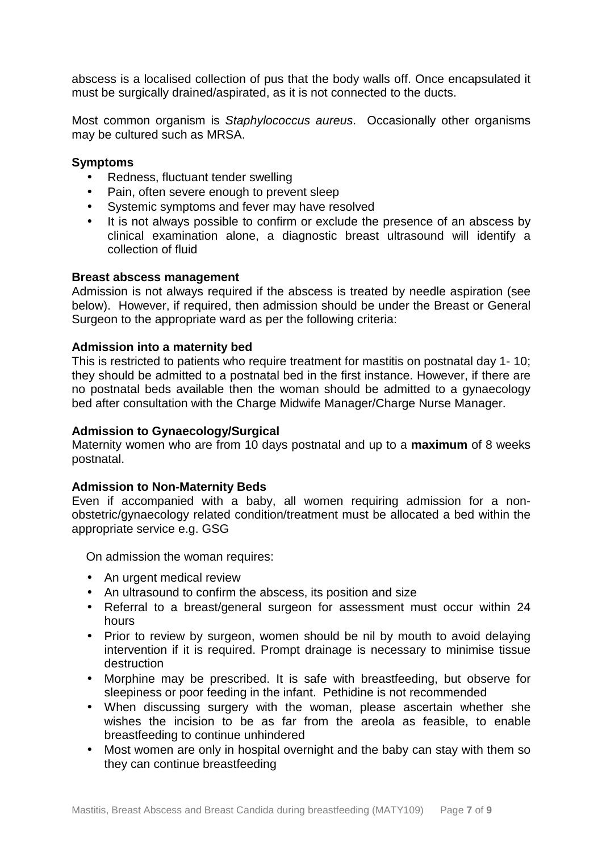abscess is a localised collection of pus that the body walls off. Once encapsulated it must be surgically drained/aspirated, as it is not connected to the ducts.

Most common organism is Staphylococcus aureus. Occasionally other organisms may be cultured such as MRSA.

## **Symptoms**

- Redness, fluctuant tender swelling
- Pain, often severe enough to prevent sleep
- Systemic symptoms and fever may have resolved
- It is not always possible to confirm or exclude the presence of an abscess by clinical examination alone, a diagnostic breast ultrasound will identify a collection of fluid

#### **Breast abscess management**

Admission is not always required if the abscess is treated by needle aspiration (see below). However, if required, then admission should be under the Breast or General Surgeon to the appropriate ward as per the following criteria:

# **Admission into a maternity bed**

This is restricted to patients who require treatment for mastitis on postnatal day 1- 10; they should be admitted to a postnatal bed in the first instance. However, if there are no postnatal beds available then the woman should be admitted to a gynaecology bed after consultation with the Charge Midwife Manager/Charge Nurse Manager.

#### **Admission to Gynaecology/Surgical**

Maternity women who are from 10 days postnatal and up to a **maximum** of 8 weeks postnatal.

# **Admission to Non-Maternity Beds**

Even if accompanied with a baby, all women requiring admission for a nonobstetric/gynaecology related condition/treatment must be allocated a bed within the appropriate service e.g. GSG

On admission the woman requires:

- An urgent medical review
- An ultrasound to confirm the abscess, its position and size
- Referral to a breast/general surgeon for assessment must occur within 24 hours
- Prior to review by surgeon, women should be nil by mouth to avoid delaying intervention if it is required. Prompt drainage is necessary to minimise tissue destruction
- Morphine may be prescribed. It is safe with breastfeeding, but observe for sleepiness or poor feeding in the infant. Pethidine is not recommended
- When discussing surgery with the woman, please ascertain whether she wishes the incision to be as far from the areola as feasible, to enable breastfeeding to continue unhindered
- Most women are only in hospital overnight and the baby can stay with them so they can continue breastfeeding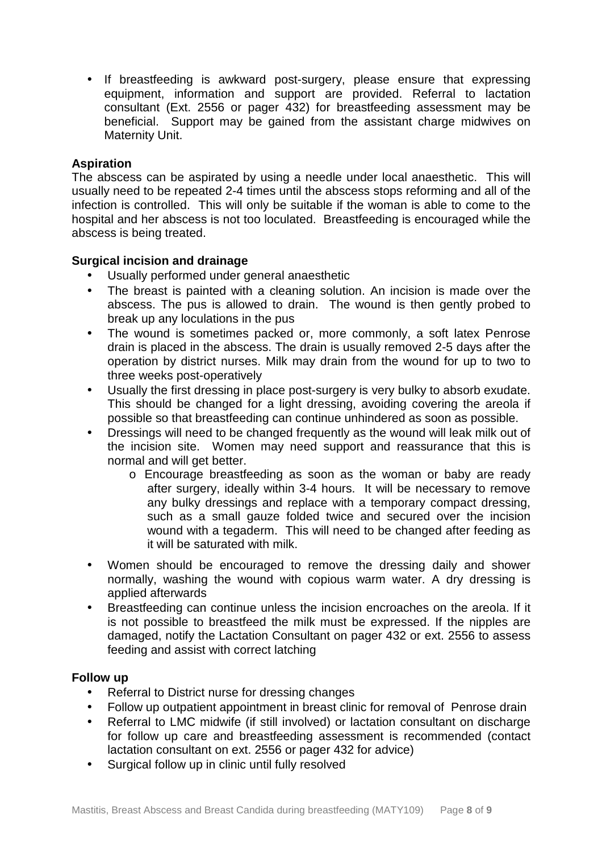• If breastfeeding is awkward post-surgery, please ensure that expressing equipment, information and support are provided. Referral to lactation consultant (Ext. 2556 or pager 432) for breastfeeding assessment may be beneficial. Support may be gained from the assistant charge midwives on Maternity Unit.

# **Aspiration**

The abscess can be aspirated by using a needle under local anaesthetic. This will usually need to be repeated 2-4 times until the abscess stops reforming and all of the infection is controlled. This will only be suitable if the woman is able to come to the hospital and her abscess is not too loculated. Breastfeeding is encouraged while the abscess is being treated.

# **Surgical incision and drainage**

- Usually performed under general anaesthetic
- The breast is painted with a cleaning solution. An incision is made over the abscess. The pus is allowed to drain. The wound is then gently probed to break up any loculations in the pus
- The wound is sometimes packed or, more commonly, a soft latex Penrose drain is placed in the abscess. The drain is usually removed 2-5 days after the operation by district nurses. Milk may drain from the wound for up to two to three weeks post-operatively
- Usually the first dressing in place post-surgery is very bulky to absorb exudate. This should be changed for a light dressing, avoiding covering the areola if possible so that breastfeeding can continue unhindered as soon as possible.
- Dressings will need to be changed frequently as the wound will leak milk out of the incision site. Women may need support and reassurance that this is normal and will get better.
	- o Encourage breastfeeding as soon as the woman or baby are ready after surgery, ideally within 3-4 hours. It will be necessary to remove any bulky dressings and replace with a temporary compact dressing, such as a small gauze folded twice and secured over the incision wound with a tegaderm. This will need to be changed after feeding as it will be saturated with milk.
- Women should be encouraged to remove the dressing daily and shower normally, washing the wound with copious warm water. A dry dressing is applied afterwards
- Breastfeeding can continue unless the incision encroaches on the areola. If it is not possible to breastfeed the milk must be expressed. If the nipples are damaged, notify the Lactation Consultant on pager 432 or ext. 2556 to assess feeding and assist with correct latching

# **Follow up**

- Referral to District nurse for dressing changes
- Follow up outpatient appointment in breast clinic for removal of Penrose drain
- Referral to LMC midwife (if still involved) or lactation consultant on discharge for follow up care and breastfeeding assessment is recommended (contact lactation consultant on ext. 2556 or pager 432 for advice)
- Surgical follow up in clinic until fully resolved